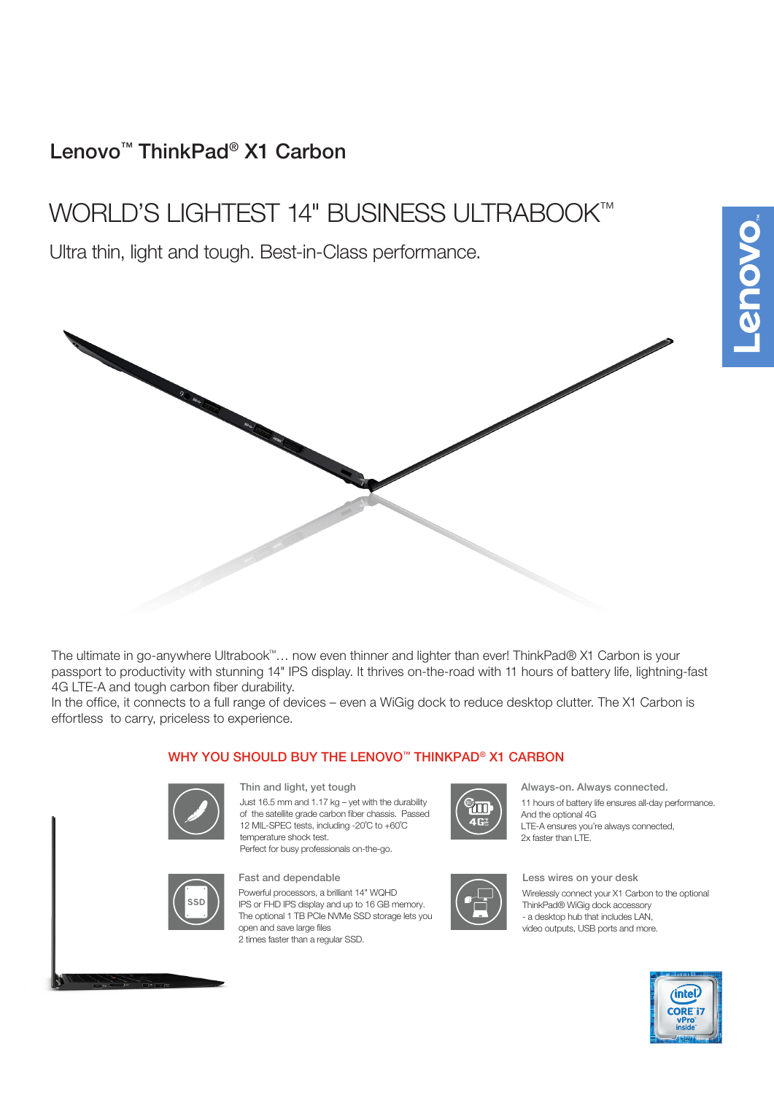# Lenovo™ ThinkPad® X1 Carbon

# WORLD'S LIGHTEST 14" BUSINESS ULTRABOOK™

Ultra thin, light and tough. Best-in-Class performance.

The ultimate in go-anywhere Ultrabook™… now even thinner and lighter than ever! ThinkPad® X1 Carbon is your passport to productivity with stunning 14" IPS display. It thrives on-the-road with 11 hours of battery life, lightning-fast 4G LTE-A and tough carbon fiber durability.

In the office, it connects to a full range of devices – even a WiGig dock to reduce desktop clutter. The X1 Carbon is effortless to carry, priceless to experience.

### WHY YOU SHOULD BUY THE LENOVO™ THINKPAD® X1 CARBON



Just 16.5 mm and 1.17 kg – yet with the durability of the satellite grade carbon fiber chassis. Passed 12 MIL-SPEC tests, including -20˚C to +60˚C temperature shock test. Perfect for busy professionals on-the-go. Thin and light, yet tough



Always-on. Always connected.

11 hours of battery life ensures all-day performance. And the optional 4G LTE-A ensures you're always connected, 2x faster than LTE.



#### Fast and dependable

Powerful processors, a brilliant 14" WQHD IPS or FHD IPS display and up to 16 GB memory. The optional 1 TB PCIe NVMe SSD storage lets you open and save large files 2 times faster than a regular SSD.



## Less wires on your desk

Wirelessly connect your X1 Carbon to the optional ThinkPad® WiGig dock accessory - a desktop hub that includes LAN, video outputs, USB ports and more.